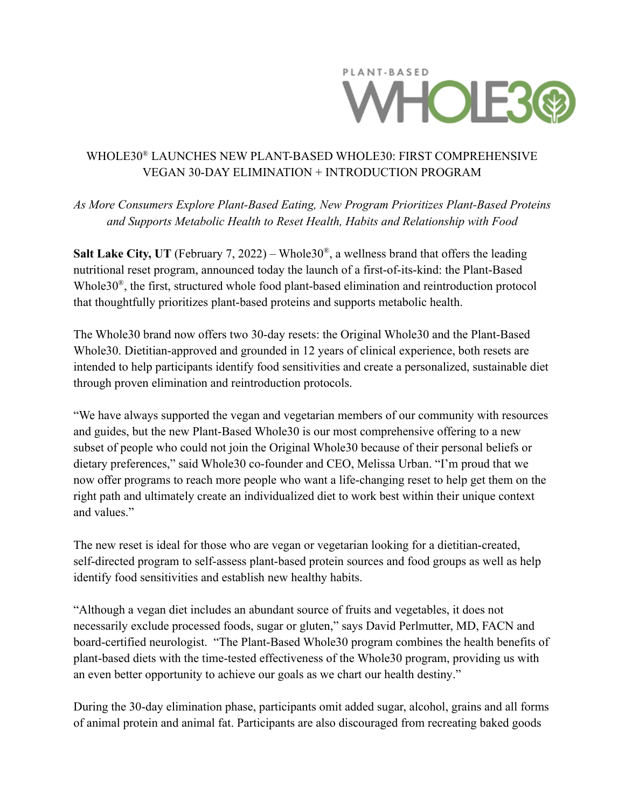

## WHOLE30® LAUNCHES NEW PLANT-BASED WHOLE30: FIRST COMPREHENSIVE VEGAN 30-DAY ELIMINATION + INTRODUCTION PROGRAM

*As More Consumers Explore Plant-Based Eating, New Program Prioritizes Plant-Based Proteins and Supports Metabolic Health to Reset Health, Habits and Relationship with Food*

**Salt Lake City, UT** (February 7, 2022) – Whole  $30^{\circ}$ , a wellness brand that offers the leading nutritional reset program, announced today the launch of a first-of-its-kind: the Plant-Based Whole30® , the first, structured whole food plant-based elimination and reintroduction protocol that thoughtfully prioritizes plant-based proteins and supports metabolic health.

The Whole30 brand now offers two 30-day resets: the Original Whole30 and the Plant-Based Whole30. Dietitian-approved and grounded in 12 years of clinical experience, both resets are intended to help participants identify food sensitivities and create a personalized, sustainable diet through proven elimination and reintroduction protocols.

"We have always supported the vegan and vegetarian members of our community with resources and guides, but the new Plant-Based Whole30 is our most comprehensive offering to a new subset of people who could not join the Original Whole30 because of their personal beliefs or dietary preferences," said Whole30 co-founder and CEO, Melissa Urban. "I'm proud that we now offer programs to reach more people who want a life-changing reset to help get them on the right path and ultimately create an individualized diet to work best within their unique context and values."

The new reset is ideal for those who are vegan or vegetarian looking for a dietitian-created, self-directed program to self-assess plant-based protein sources and food groups as well as help identify food sensitivities and establish new healthy habits.

"Although a vegan diet includes an abundant source of fruits and vegetables, it does not necessarily exclude processed foods, sugar or gluten," says David Perlmutter, MD, FACN and board-certified neurologist. "The Plant-Based Whole30 program combines the health benefits of plant-based diets with the time-tested effectiveness of the Whole30 program, providing us with an even better opportunity to achieve our goals as we chart our health destiny."

During the 30-day elimination phase, participants omit added sugar, alcohol, grains and all forms of animal protein and animal fat. Participants are also discouraged from recreating baked goods